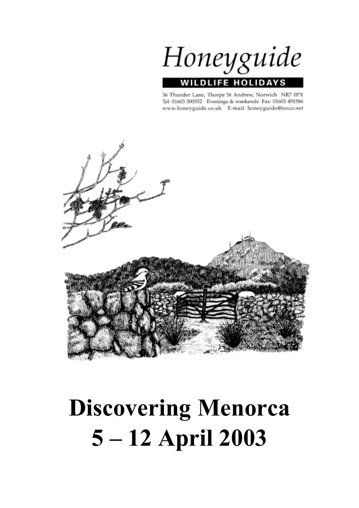Honeyguide **FE HOLIDA** WIL

36 Thunder Lane, Thorpe St Andrew, Norwich NR7 0PX Tel: 01603 300552 Evenings & weekends Fax: 01603 491586 www.honeyguide.co.uk E-mail: honeyguide@tesco.net



# **Discovering Menorca 5 – 12 April 2003**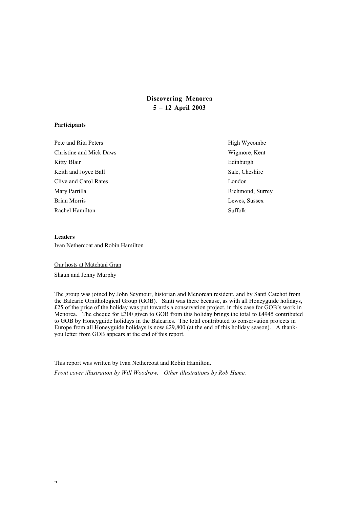# **Discovering Menorca 5 – 12 April 2003**

#### **Participants**

Pete and Rita Peters High Wycombe Christine and Mick Daws Wigmore, Kent Kitty Blair Edinburgh Keith and Joyce Ball Sale, Cheshire Clive and Carol Rates London Mary Parrilla **Richmond, Surrey and Allen Street Article 2016** Richmond, Surrey Brian Morris Lewes, Sussex Rachel Hamilton Suffolk

## **Leaders** Ivan Nethercoat and Robin Hamilton

Our hosts at Matchani Gran Shaun and Jenny Murphy

The group was joined by John Seymour, historian and Menorcan resident, and by Santí Catchot from the Balearic Ornithological Group (GOB). Santí was there because, as with all Honeyguide holidays, £25 of the price of the holiday was put towards a conservation project, in this case for GOB's work in Menorca. The cheque for £300 given to GOB from this holiday brings the total to £4945 contributed to GOB by Honeyguide holidays in the Balearics. The total contributed to conservation projects in Europe from all Honeyguide holidays is now £29,800 (at the end of this holiday season). A thankyou letter from GOB appears at the end of this report.

This report was written by Ivan Nethercoat and Robin Hamilton. *Front cover illustration by Will Woodrow. Other illustrations by Rob Hume.*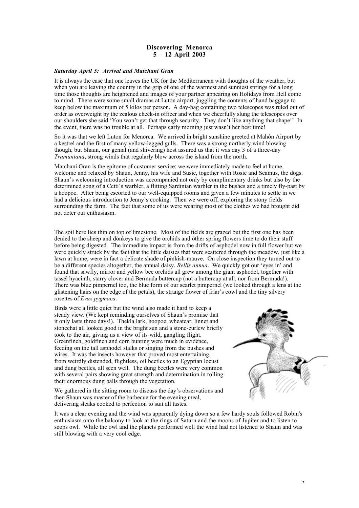## **Discovering Menorca 5 – 12 April 2003**

#### *Saturday April 5: Arrival and Matchani Gran*

It is always the case that one leaves the UK for the Mediterranean with thoughts of the weather, but when you are leaving the country in the grip of one of the warmest and sunniest springs for a long time those thoughts are heightened and images of your partner appearing on Holidays from Hell come to mind. There were some small dramas at Luton airport, juggling the contents of hand baggage to keep below the maximum of 5 kilos per person. A day-bag containing two telescopes was ruled out of order as overweight by the zealous check-in officer and when we cheerfully slung the telescopes over our shoulders she said 'You won't get that through security. They don't like anything that shape!' In the event, there was no trouble at all. Perhaps early morning just wasn't her best time!

So it was that we left Luton for Menorca. We arrived in bright sunshine greeted at Mahón Airport by a kestrel and the first of many yellow-legged gulls. There was a strong northerly wind blowing though, but Shaun, our genial (and shivering) host assured us that it was day 3 of a three-day *Tramuntana*, strong winds that regularly blow across the island from the north.

Matchani Gran is the epitome of customer service; we were immediately made to feel at home, welcome and relaxed by Shaun, Jenny, his wife and Susie, together with Rosie and Seamus, the dogs. Shaun's welcoming introduction was accompanied not only by complimentary drinks but also by the determined song of a Cetti's warbler, a flitting Sardinian warbler in the bushes and a timely fly-past by a hoopoe. After being escorted to our well-equipped rooms and given a few minutes to settle in we had a delicious introduction to Jenny's cooking. Then we were off, exploring the stony fields surrounding the farm. The fact that some of us were wearing most of the clothes we had brought did not deter our enthusiasm.

The soil here lies thin on top of limestone. Most of the fields are grazed but the first one has been denied to the sheep and donkeys to give the orchids and other spring flowers time to do their stuff before being digested. The immediate impact is from the drifts of asphodel now in full flower but we were quickly struck by the fact that the little daisies that were scattered through the meadow, just like a lawn at home, were in fact a delicate shade of pinkish-mauve. On close inspection they turned out to be a different species altogether, the annual daisy, *Bellis annua*. We quickly got our 'eyes in' and found that sawfly, mirror and yellow bee orchids all grew among the giant asphodel, together with tassel hyacinth, starry clover and Bermuda buttercup (not a buttercup at all, nor from Bermuda!). There was blue pimpernel too, the blue form of our scarlet pimpernel (we looked through a lens at the glistening hairs on the edge of the petals), the strange flower of friar's cowl and the tiny silvery rosettes of *Evax pygmaea*.

Birds were a little quiet but the wind also made it hard to keep a steady view. (We kept reminding ourselves of Shaun's promise that it only lasts three days!). Thekla lark, hoopoe, wheatear, linnet and stonechat all looked good in the bright sun and a stone-curlew briefly took to the air, giving us a view of its wild, gangling flight. Greenfinch, goldfinch and corn bunting were much in evidence, feeding on the tall asphodel stalks or singing from the bushes and wires. It was the insects however that proved most entertaining, from weirdly distended, flightless, oil beetles to an Egyptian locust and dung beetles, all seen well. The dung beetles were very common with several pairs showing great strength and determination in rolling their enormous dung balls through the vegetation.

We gathered in the sitting room to discuss the day's observations and then Shaun was master of the barbecue for the evening meal, delivering steaks cooked to perfection to suit all tastes.



It was a clear evening and the wind was apparently dying down so a few hardy souls followed Robin's enthusiasm onto the balcony to look at the rings of Saturn and the moons of Jupiter and to listen to scops owl. While the owl and the planets performed well the wind had not listened to Shaun and was still blowing with a very cool edge.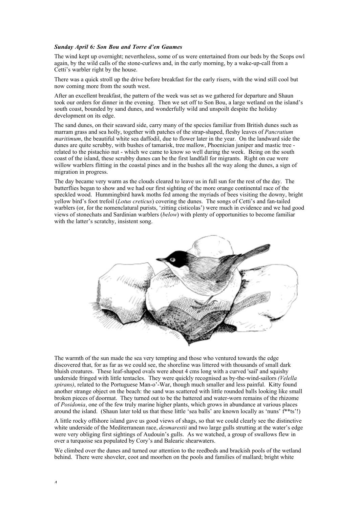#### *Sunday April 6: Son Bou and Torre d'en Gaumes*

The wind kept up overnight; nevertheless, some of us were entertained from our beds by the Scops owl again, by the wild calls of the stone-curlews and, in the early morning, by a wake-up-call from a Cetti's warbler right by the house.

There was a quick stroll up the drive before breakfast for the early risers, with the wind still cool but now coming more from the south west.

After an excellent breakfast, the pattern of the week was set as we gathered for departure and Shaun took our orders for dinner in the evening. Then we set off to Son Bou, a large wetland on the island's south coast, bounded by sand dunes, and wonderfully wild and unspoilt despite the holiday development on its edge.

The sand dunes, on their seaward side, carry many of the species familiar from British dunes such as marram grass and sea holly, together with patches of the strap-shaped, fleshy leaves of *Pancratium maritimum*, the beautiful white sea daffodil, due to flower later in the year. On the landward side the dunes are quite scrubby, with bushes of tamarisk, tree mallow, Phoenician juniper and mastic tree related to the pistachio nut - which we came to know so well during the week. Being on the south coast of the island, these scrubby dunes can be the first landfall for migrants. Right on cue were willow warblers flitting in the coastal pines and in the bushes all the way along the dunes, a sign of migration in progress.

The day became very warm as the clouds cleared to leave us in full sun for the rest of the day. The butterflies began to show and we had our first sighting of the more orange continental race of the speckled wood. Hummingbird hawk moths fed among the myriads of bees visiting the downy, bright yellow bird's foot trefoil (*Lotus creticus*) covering the dunes. The songs of Cetti's and fan-tailed warblers (or, for the nomenclatural purists, 'zitting cisticolas') were much in evidence and we had good views of stonechats and Sardinian warblers (*below*) with plenty of opportunities to become familiar with the latter's scratchy, insistent song.



The warmth of the sun made the sea very tempting and those who ventured towards the edge discovered that, for as far as we could see, the shoreline was littered with thousands of small dark bluish creatures. These leaf-shaped ovals were about 4 cms long with a curved 'sail' and squishy underside fringed with little tentacles. They were quickly recognised as by-the-wind-sailors *(Velella spirans)*, related to the Portuguese Man-o'-War, though much smaller and less painful. Kitty found another strange object on the beach: the sand was scattered with little rounded balls looking like small broken pieces of doormat. They turned out to be the battered and water-worn remains of the rhizome of *Posidonia*, one of the few truly marine higher plants, which grows in abundance at various places around the island. (Shaun later told us that these little 'sea balls' are known locally as 'nuns' f\*\*ts'!)

A little rocky offshore island gave us good views of shags, so that we could clearly see the distinctive white underside of the Mediterranean race, *desmarestii* and two large gulls strutting at the water's edge were very obliging first sightings of Audouin's gulls. As we watched, a group of swallows flew in over a turquoise sea populated by Cory's and Balearic shearwaters.

We climbed over the dunes and turned our attention to the reedbeds and brackish pools of the wetland behind. There were shoveler, coot and moorhen on the pools and families of mallard; bright white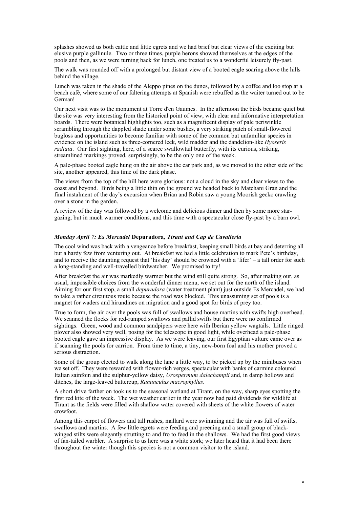splashes showed us both cattle and little egrets and we had brief but clear views of the exciting but elusive purple gallinule. Two or three times, purple herons showed themselves at the edges of the pools and then, as we were turning back for lunch, one treated us to a wonderful leisurely fly-past.

The walk was rounded off with a prolonged but distant view of a booted eagle soaring above the hills behind the village.

Lunch was taken in the shade of the Aleppo pines on the dunes, followed by a coffee and loo stop at a beach café, where some of our faltering attempts at Spanish were rebuffed as the waiter turned out to be German!

Our next visit was to the monument at Torre d'en Gaumes. In the afternoon the birds became quiet but the site was very interesting from the historical point of view, with clear and informative interpretation boards. There were botanical highlights too, such as a magnificent display of pale periwinkle scrambling through the dappled shade under some bushes, a very striking patch of small-flowered bugloss and opportunities to become familiar with some of the common but unfamiliar species in evidence on the island such as three-cornered leek, wild madder and the dandelion-like *Hyoseris radiata*. Our first sighting, here, of a scarce swallowtail butterfly, with its curious, striking, streamlined markings proved, surprisingly, to be the only one of the week.

A pale-phase booted eagle hung on the air above the car park and, as we moved to the other side of the site, another appeared, this time of the dark phase.

The views from the top of the hill here were glorious: not a cloud in the sky and clear views to the coast and beyond. Birds being a little thin on the ground we headed back to Matchani Gran and the final instalment of the day's excursion when Brian and Robin saw a young Moorish gecko crawling over a stone in the garden.

A review of the day was followed by a welcome and delicious dinner and then by some more stargazing, but in much warmer conditions, and this time with a spectacular close fly-past by a barn owl.

#### *Monday April 7: Es Mercadel* **Depuradora***, Tirant and Cap de Cavallería*

The cool wind was back with a vengeance before breakfast, keeping small birds at bay and deterring all but a hardy few from venturing out. At breakfast we had a little celebration to mark Pete's birthday, and to receive the daunting request that 'his day' should be crowned with a 'lifer' – a tall order for such a long-standing and well-travelled birdwatcher. We promised to try!

After breakfast the air was markedly warmer but the wind still quite strong. So, after making our, as usual, impossible choices from the wonderful dinner menu, we set out for the north of the island. Aiming for our first stop, a small *depuradora* (water treatment plant) just outside Es Mercadel, we had to take a rather circuitous route because the road was blocked. This unassuming set of pools is a magnet for waders and hirundines on migration and a good spot for birds of prey too.

True to form, the air over the pools was full of swallows and house martins with swifts high overhead. We scanned the flocks for red-rumped swallows and pallid swifts but there were no confirmed sightings. Green, wood and common sandpipers were here with Iberian yellow wagtails. Little ringed plover also showed very well, posing for the telescope in good light, while overhead a pale-phase booted eagle gave an impressive display. As we were leaving, our first Egyptian vulture came over as if scanning the pools for carrion. From time to time, a tiny, new-born foal and his mother proved a serious distraction.

Some of the group elected to walk along the lane a little way, to be picked up by the minibuses when we set off. They were rewarded with flower-rich verges, spectacular with banks of carmine coloured Italian sainfoin and the sulphur-yellow daisy, *Urospermum dalechampii* and, in damp hollows and ditches, the large-leaved buttercup, *Ranunculus macrophyllus*.

A short drive farther on took us to the seasonal wetland at Tirant, on the way, sharp eyes spotting the first red kite of the week. The wet weather earlier in the year now had paid dividends for wildlife at Tirant as the fields were filled with shallow water covered with sheets of the white flowers of water crowfoot.

Among this carpet of flowers and tall rushes, mallard were swimming and the air was full of swifts, swallows and martins. A few little egrets were feeding and preening and a small group of blackwinged stilts were elegantly strutting to and fro to feed in the shallows. We had the first good views of fan-tailed warbler. A surprise to us here was a white stork; we later heard that it had been there throughout the winter though this species is not a common visitor to the island.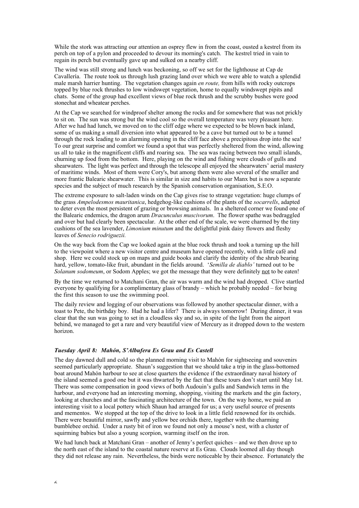While the stork was attracting our attention an osprey flew in from the coast, ousted a kestrel from its perch on top of a pylon and proceeded to devour its morning's catch. The kestrel tried in vain to regain its perch but eventually gave up and sulked on a nearby cliff.

The wind was still strong and lunch was beckoning, so off we set for the lighthouse at Cap de Cavallería. The route took us through lush grazing land over which we were able to watch a splendid male marsh harrier hunting. The vegetation changes again *en route,* from hills with rocky outcrops topped by blue rock thrushes to low windswept vegetation, home to equally windswept pipits and chats. Some of the group had excellent views of blue rock thrush and the scrubby bushes were good stonechat and wheatear perches.

At the Cap we searched for windproof shelter among the rocks and for somewhere that was not prickly to sit on. The sun was strong but the wind cool so the overall temperature was very pleasant here. After we had had lunch, we moved on to the cliff edge where we expected to be blown back inland, some of us making a small diversion into what appeared to be a cave but turned out to be a tunnel through the rock leading to an alarming opening in the cliff face above a precipitous drop into the sea! To our great surprise and comfort we found a spot that was perfectly sheltered from the wind, allowing us all to take in the magnificent cliffs and roaring sea. The sea was racing between two small islands, churning up food from the bottom. Here, playing on the wind and fishing were clouds of gulls and shearwaters. The light was perfect and through the telescope all enjoyed the shearwaters' aerial mastery of maritime winds. Most of them were Cory's, but among them were also several of the smaller and more frantic Balearic shearwater. This is similar in size and habits to our Manx but is now a separate species and the subject of much research by the Spanish conservation organisation, S.E.O.

The extreme exposure to salt-laden winds on the Cap gives rise to strange vegetation: huge clumps of the grass *Ampelodesmos mauritanica*, hedgehog-like cushions of the plants of the *socarrells*, adapted to deter even the most persistent of grazing or browsing animals. In a sheltered corner we found one of the Balearic endemics, the dragon arum *Dracunculus muscivorum*. The flower spathe was bedraggled and over but had clearly been spectacular. At the other end of the scale, we were charmed by the tiny cushions of the sea lavender, *Limonium minutum* and the delightful pink daisy flowers and fleshy leaves of *Senecio rodriguezii.*

On the way back from the Cap we looked again at the blue rock thrush and took a turning up the hill to the viewpoint where a new visitor centre and museum have opened recently, with a little café and shop. Here we could stock up on maps and guide books and clarify the identity of the shrub bearing hard, yellow, tomato-like fruit, abundant in the fields around. '*Semilla de diablo'* turned out to be *Solanum sodomeum*, or Sodom Apples; we got the message that they were definitely not to be eaten!

By the time we returned to Matchani Gran, the air was warm and the wind had dropped. Clive startled everyone by qualifying for a complimentary glass of brandy – which he probably needed – for being the first this season to use the swimming pool.

The daily review and logging of our observations was followed by another spectacular dinner, with a toast to Pete, the birthday boy. Had he had a lifer? There is always tomorrow! During dinner, it was clear that the sun was going to set in a cloudless sky and so, in spite of the light from the airport behind, we managed to get a rare and very beautiful view of Mercury as it dropped down to the western horizon.

## *Tuesday April 8: Mahón, S'Albufera Es Grau and Es Castell*

The day dawned dull and cold so the planned morning visit to Mahón for sightseeing and souvenirs seemed particularly appropriate. Shaun's suggestion that we should take a trip in the glass-bottomed boat around Mahón harbour to see at close quarters the evidence if the extraordinary naval history of the island seemed a good one but it was thwarted by the fact that these tours don't start until May 1st. There was some compensation in good views of both Audouin's gulls and Sandwich terns in the harbour, and everyone had an interesting morning, shopping, visiting the markets and the gin factory, looking at churches and at the fascinating architecture of the town. On the way home, we paid an interesting visit to a local pottery which Shaun had arranged for us; a very useful source of presents and mementos. We stopped at the top of the drive to look in a little field renowned for its orchids. There were beautiful mirror, sawfly and yellow bee orchids there, together with the charming bumblebee orchid. Under a rusty bit of iron we found not only a mouse's nest, with a cluster of squirming babies but also a young scorpion, warming itself on the iron.

We had lunch back at Matchani Gran – another of Jenny's perfect quiches – and we then drove up to the north east of the island to the coastal nature reserve at Es Grau. Clouds loomed all day though they did not release any rain. Nevertheless, the birds were noticeable by their absence. Fortunately the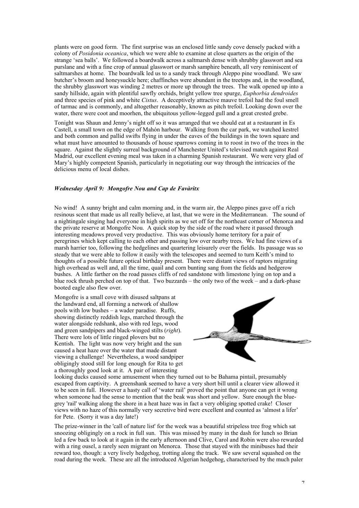plants were on good form. The first surprise was an enclosed little sandy cove densely packed with a colony of *Posidonia oceanica*, which we were able to examine at close quarters as the origin of the strange 'sea balls'. We followed a boardwalk across a saltmarsh dense with shrubby glasswort and sea purslane and with a fine crop of annual glasswort or marsh samphire beneath, all very reminiscent of saltmarshes at home. The boardwalk led us to a sandy track through Aleppo pine woodland. We saw butcher's broom and honeysuckle here; chaffinches were abundant in the treetops and, in the woodland, the shrubby glasswort was winding 2 metres or more up through the trees. The walk opened up into a sandy hillside, again with plentiful sawfly orchids, bright yellow tree spurge, *Euphorbia dendroides* and three species of pink and white *Cistus*. A deceptively attractive mauve trefoil had the foul smell of tarmac and is commonly, and altogether reasonably, known as pitch trefoil. Looking down over the water, there were coot and moorhen, the ubiquitous yellow-legged gull and a great crested grebe.

Tonight was Shaun and Jenny's night off so it was arranged that we should eat at a restaurant in Es Castell, a small town on the edge of Mahón harbour. Walking from the car park, we watched kestrel and both common and pallid swifts flying in under the eaves of the buildings in the town square and what must have amounted to thousands of house sparrows coming in to roost in two of the trees in the square. Against the slightly surreal background of Manchester United's televised match against Real Madrid, our excellent evening meal was taken in a charming Spanish restaurant. We were very glad of Mary's highly competent Spanish, particularly in negotiating our way through the intricacies of the delicious menu of local dishes.

#### *Wednesday April 9: Mongofre Nou and Cap de Favàritx*

No wind! A sunny bright and calm morning and, in the warm air, the Aleppo pines gave off a rich resinous scent that made us all really believe, at last, that we were in the Mediterranean. The sound of a nightingale singing had everyone in high spirits as we set off for the northeast corner of Menorca and the private reserve at Mongofre Nou. A quick stop by the side of the road where it passed through interesting meadows proved very productive. This was obviously home territory for a pair of peregrines which kept calling to each other and passing low over nearby trees. We had fine views of a marsh harrier too, following the hedgelines and quartering leisurely over the fields. Its passage was so steady that we were able to follow it easily with the telescopes and seemed to turn Keith's mind to thoughts of a possible future optical birthday present. There were distant views of raptors migrating high overhead as well and, all the time, quail and corn bunting sang from the fields and hedgerow bushes. A little farther on the road passes cliffs of red sandstone with limestone lying on top and a blue rock thrush perched on top of that. Two buzzards – the only two of the week – and a dark-phase booted eagle also flew over.

Mongofre is a small cove with disused saltpans at the landward end, all forming a network of shallow pools with low bushes – a wader paradise. Ruffs, showing distinctly reddish legs, marched through the water alongside redshank, also with red legs, wood and green sandpipers and black-winged stilts (*right*). There were lots of little ringed plovers but no Kentish. The light was now very bright and the sun caused a heat haze over the water that made distant viewing a challenge! Nevertheless, a wood sandpiper obligingly stood still for long enough for Rita to get a thoroughly good look at it. A pair of interesting



looking ducks caused some amusement when they turned out to be Bahama pintail, presumably escaped from captivity. A greenshank seemed to have a very short bill until a clearer view allowed it to be seen in full. However a hasty call of 'water rail' proved the point that anyone can get it wrong when someone had the sense to mention that the beak was short and yellow. Sure enough the bluegrey 'rail' walking along the shore in a heat haze was in fact a very obliging spotted crake! Closer views with no haze of this normally very secretive bird were excellent and counted as 'almost a lifer' for Pete. (Sorry it was a day late!)

The prize-winner in the 'call of nature list' for the week was a beautiful stripeless tree frog which sat snoozing obligingly on a rock in full sun. This was missed by many in the dash for lunch so Brian led a few back to look at it again in the early afternoon and Clive, Carol and Robin were also rewarded with a ring ousel, a rarely seen migrant on Menorca. Those that stayed with the minibuses had their reward too, though: a very lively hedgehog, trotting along the track. We saw several squashed on the road during the week. These are all the introduced Algerian hedgehog, characterised by the much paler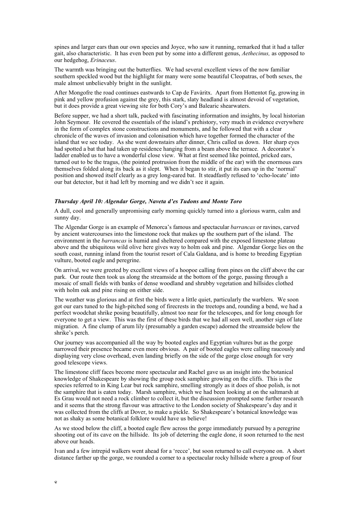spines and larger ears than our own species and Joyce, who saw it running, remarked that it had a taller gait, also characteristic. It has even been put by some into a different genus, *Aethecinus,* as opposed to our hedgehog, *Erinaceus*.

The warmth was bringing out the butterflies. We had several excellent views of the now familiar southern speckled wood but the highlight for many were some beautiful Cleopatras, of both sexes, the male almost unbelievably bright in the sunlight.

After Mongofre the road continues eastwards to Cap de Favàritx. Apart from Hottentot fig, growing in pink and yellow profusion against the grey, this stark, slaty headland is almost devoid of vegetation, but it does provide a great viewing site for both Cory's and Balearic shearwaters.

Before supper, we had a short talk, packed with fascinating information and insights, by local historian John Seymour. He covered the essentials of the island's prehistory, very much in evidence everywhere in the form of complex stone constructions and monuments, and he followed that with a clear chronicle of the waves of invasion and colonisation which have together formed the character of the island that we see today. As she went downstairs after dinner, Chris called us down. Her sharp eyes had spotted a bat that had taken up residence hanging from a beam above the terrace. A decorator's ladder enabled us to have a wonderful close view. What at first seemed like pointed, pricked ears, turned out to be the tragus, (the pointed protrusion from the middle of the ear) with the enormous ears themselves folded along its back as it slept. When it began to stir, it put its ears up in the 'normal' position and showed itself clearly as a grey long-eared bat. It steadfastly refused to 'echo-locate' into our bat detector, but it had left by morning and we didn't see it again.

#### *Thursday April 10: Algendar Gorge, Naveta d'es Tudons and Monte Toro*

A dull, cool and generally unpromising early morning quickly turned into a glorious warm, calm and sunny day.

The Algendar Gorge is an example of Menorca's famous and spectacular *barrancas* or ravines, carved by ancient watercourses into the limestone rock that makes up the southern part of the island. The environment in the *barrancas* is humid and sheltered compared with the exposed limestone plateau above and the ubiquitous wild olive here gives way to holm oak and pine. Algendar Gorge lies on the south coast, running inland from the tourist resort of Cala Galdana, and is home to breeding Egyptian vulture, booted eagle and peregrine.

On arrival, we were greeted by excellent views of a hoopoe calling from pines on the cliff above the car park. Our route then took us along the streamside at the bottom of the gorge, passing through a mosaic of small fields with banks of dense woodland and shrubby vegetation and hillsides clothed with holm oak and pine rising on either side.

The weather was glorious and at first the birds were a little quiet, particularly the warblers. We soon got our ears tuned to the high-pitched song of firecrests in the treetops and, rounding a bend, we had a perfect woodchat shrike posing beautifully, almost too near for the telescopes, and for long enough for everyone to get a view. This was the first of these birds that we had all seen well, another sign of late migration. A fine clump of arum lily (presumably a garden escape) adorned the streamside below the shrike's perch.

Our journey was accompanied all the way by booted eagles and Egyptian vultures but as the gorge narrowed their presence became even more obvious. A pair of booted eagles were calling raucously and displaying very close overhead, even landing briefly on the side of the gorge close enough for very good telescope views.

The limestone cliff faces become more spectacular and Rachel gave us an insight into the botanical knowledge of Shakespeare by showing the group rock samphire growing on the cliffs. This is the species referred to in King Lear but rock samphire, smelling strongly as it does of shoe polish, is not the samphire that is eaten today. Marsh samphire, which we had been looking at on the saltmarsh at Es Grau would not need a rock climber to collect it, but the discussion prompted some further research and it seems that the strong flavour was attractive to the London society of Shakespeare's day and it was collected from the cliffs at Dover, to make a pickle. So Shakespeare's botanical knowledge was not as shaky as some botanical folklore would have us believe!

As we stood below the cliff, a booted eagle flew across the gorge immediately pursued by a peregrine shooting out of its cave on the hillside. Its job of deterring the eagle done, it soon returned to the nest above our heads.

Ivan and a few intrepid walkers went ahead for a 'recce', but soon returned to call everyone on. A short distance farther up the gorge, we rounded a corner to a spectacular rocky hillside where a group of four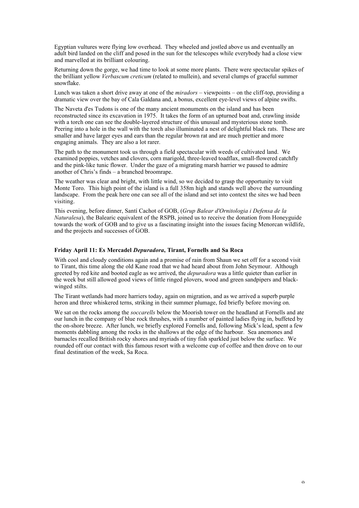Egyptian vultures were flying low overhead. They wheeled and jostled above us and eventually an adult bird landed on the cliff and posed in the sun for the telescopes while everybody had a close view and marvelled at its brilliant colouring.

Returning down the gorge, we had time to look at some more plants. There were spectacular spikes of the brilliant yellow *Verbascum creticum* (related to mullein), and several clumps of graceful summer snowflake.

Lunch was taken a short drive away at one of the *miradors* – viewpoints – on the cliff-top, providing a dramatic view over the bay of Cala Galdana and, a bonus, excellent eye-level views of alpine swifts.

The Naveta d'es Tudons is one of the many ancient monuments on the island and has been reconstructed since its excavation in 1975. It takes the form of an upturned boat and, crawling inside with a torch one can see the double-layered structure of this unusual and mysterious stone tomb. Peering into a hole in the wall with the torch also illuminated a nest of delightful black rats. These are smaller and have larger eyes and ears than the regular brown rat and are much prettier and more engaging animals. They are also a lot rarer.

The path to the monument took us through a field spectacular with weeds of cultivated land. We examined poppies, vetches and clovers, corn marigold, three-leaved toadflax, small-flowered catchfly and the pink-like tunic flower. Under the gaze of a migrating marsh harrier we paused to admire another of Chris's finds – a branched broomrape.

The weather was clear and bright, with little wind, so we decided to grasp the opportunity to visit Monte Toro. This high point of the island is a full 358m high and stands well above the surrounding landscape. From the peak here one can see all of the island and set into context the sites we had been visiting.

This evening, before dinner, Santí Cachot of GOB, (*Grup Balear d'Ornitologia i Defensa de la Naturalesa*), the Balearic equivalent of the RSPB, joined us to receive the donation from Honeyguide towards the work of GOB and to give us a fascinating insight into the issues facing Menorcan wildlife, and the projects and successes of GOB.

#### **Friday April 11: Es Mercadel** *Depuradora***, Tirant, Fornells and Sa Roca**

With cool and cloudy conditions again and a promise of rain from Shaun we set off for a second visit to Tirant, this time along the old Kane road that we had heard about from John Seymour. Although greeted by red kite and booted eagle as we arrived, the *depuradora* was a little quieter than earlier in the week but still allowed good views of little ringed plovers, wood and green sandpipers and blackwinged stilts.

The Tirant wetlands had more harriers today, again on migration, and as we arrived a superb purple heron and three whiskered terns, striking in their summer plumage, fed briefly before moving on.

We sat on the rocks among the *soccarells* below the Moorish tower on the headland at Fornells and ate our lunch in the company of blue rock thrushes, with a number of painted ladies flying in, buffeted by the on-shore breeze. After lunch, we briefly explored Fornells and, following Mick's lead, spent a few moments dabbling among the rocks in the shallows at the edge of the harbour. Sea anemones and barnacles recalled British rocky shores and myriads of tiny fish sparkled just below the surface. We rounded off our contact with this famous resort with a welcome cup of coffee and then drove on to our final destination of the week, Sa Roca.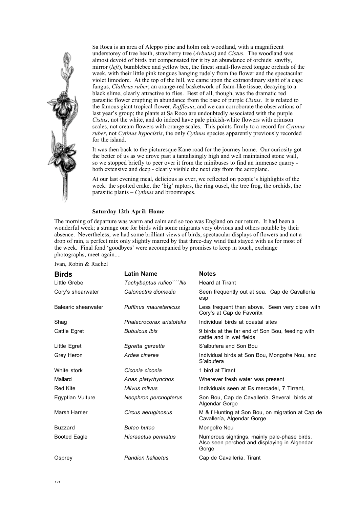

Sa Roca is an area of Aleppo pine and holm oak woodland, with a magnificent understorey of tree heath, strawberry tree (*Arbutus*) and *Cistus*. The woodland was almost devoid of birds but compensated for it by an abundance of orchids: sawfly, mirror (*left*), bumblebee and yellow bee, the finest small-flowered tongue orchids of the week, with their little pink tongues hanging rudely from the flower and the spectacular violet limodore. At the top of the hill, we came upon the extraordinary sight of a cage fungus, *Clathrus ruber*; an orange-red basketwork of foam-like tissue, decaying to a black slime, clearly attractive to flies. Best of all, though, was the dramatic red parasitic flower erupting in abundance from the base of purple *Cistus*. It is related to the famous giant tropical flower, *Rafflesia*, and we can corroborate the observations of last year's group; the plants at Sa Roco are undoubtedly associated with the purple *Cistus*, not the white, and do indeed have pale pinkish-white flowers with crimson scales, not cream flowers with orange scales. This points firmly to a record for *Cytinus ruber*, not *Cytinus hypocistis*, the only *Cytinus* species apparently previously recorded for the island.

It was then back to the picturesque Kane road for the journey home. Our curiosity got the better of us as we drove past a tantalisingly high and well maintained stone wall, so we stopped briefly to peer over it from the minibuses to find an immense quarry both extensive and deep - clearly visible the next day from the aeroplane.

At our last evening meal, delicious as ever, we reflected on people's highlights of the week: the spotted crake, the 'big' raptors, the ring ousel, the tree frog, the orchids, the parasitic plants – *Cytinus* and broomrapes.

#### **Saturday 12th April: Home**

The morning of departure was warm and calm and so too was England on our return. It had been a wonderful week; a strange one for birds with some migrants very obvious and others notable by their absence. Nevertheless, we had some brilliant views of birds, spectacular displays of flowers and not a drop of rain, a perfect mix only slightly marred by that three-day wind that stayed with us for most of the week. Final fond 'goodbyes' were accompanied by promises to keep in touch, exchange photographs, meet again....

Ivan, Robin & Rachel

| <b>Birds</b>        | <b>Latin Name</b>          | <b>Notes</b>                                                                                          |
|---------------------|----------------------------|-------------------------------------------------------------------------------------------------------|
| Little Grebe        | Tachybaptus rufico````llis | <b>Heard at Tirant</b>                                                                                |
| Cory's shearwater   | Calonectris diomedia       | Seen frequently out at sea. Cap de Cavallería<br>esp                                                  |
| Balearic shearwater | Puffinus mauretanicus      | Less frequent than above. Seen very close with<br>Cory's at Cap de Favoritx                           |
| Shaq                | Phalacrocorax aristotelis  | Individual birds at coastal sites                                                                     |
| Cattle Egret        | <b>Bubulcus ibis</b>       | 9 birds at the far end of Son Bou, feeding with<br>cattle and in wet fields                           |
| Little Egret        | Egretta garzetta           | S'albufera and Son Bou                                                                                |
| Grey Heron          | Ardea cinerea              | Individual birds at Son Bou, Mongofre Nou, and<br>S'albufera                                          |
| White stork         | Ciconia ciconia            | 1 bird at Tirant                                                                                      |
| Mallard             | Anas platyrhynchos         | Wherever fresh water was present                                                                      |
| <b>Red Kite</b>     | Milvus milvus              | Individuals seen at Es mercadel, 7 Tirrant,                                                           |
| Eqyptian Vulture    | Neophron percnopterus      | Son Bou, Cap de Cavallería. Several birds at<br>Algendar Gorge                                        |
| Marsh Harrier       | Circus aeruginosus         | M & f Hunting at Son Bou, on migration at Cap de<br>Cavallería, Algendar Gorge                        |
| <b>Buzzard</b>      | Buteo buteo                | Mongofre Nou                                                                                          |
| <b>Booted Eagle</b> | Hieraaetus pennatus        | Numerous sightings, mainly pale-phase birds.<br>Also seen perched and displaying in Algendar<br>Gorge |
| Osprey              | <b>Pandion haliaetus</b>   | Cap de Cavallería, Tirant                                                                             |
|                     |                            |                                                                                                       |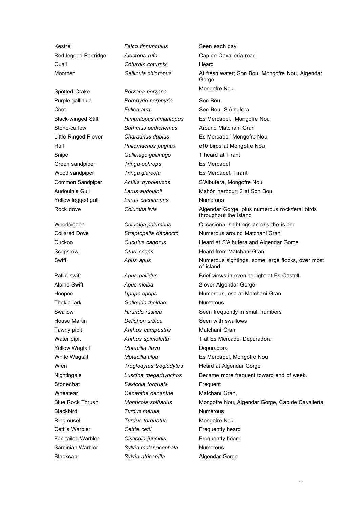Kestrel *Falco tinnunculus* Seen each day Quail **Coturnix coturnix** Coturnix Moorhen

Spotted Crake

Blackcap **Sylvia atricapilla** Algendar Gorge

*Gallinula chloropus*

*Porzana porzana* Purple gallinule *Porphyrio porphyrio* Son Bou Coot **Fulica atra** Son Bou, S'Albufera Stone-curlew *Burhinus oedicnemus* Around Matchani Gran Snipe *Gallinago gallinago* 1 heard at Tirant Green sandpiper *Tringa ochrops* Es Mercadel Wood sandpiper *Tringa glareola* Es Mercadel, Tirant Yellow legged gull *Larus cachinnans* Numerous

Alpine Swift *Apus melba* 2 over Algendar Gorge Thekla lark *Gallerida theklae* Numerous House Martin *Delichon urbica* Seen with swallows Tawny pipit *Anthus campestris* Matchani Gran Yellow Wagtail *Motacilla flava* Depuradora Stonechat **Saxicola torquata Frequent** Wheatear *Oenanthe oenanthe* Matchani Gran, Blackbird *Turdus merula* Numerous Ring ousel *Turdus torquatus* Mongofre Nou Cetti's Warbler **Cettia cetti Cettic Research Frequently heard** Fan-tailed Warbler **Cisticola juncidis Figure 1** Frequently heard Sardinian Warbler *Sylvia melanocephala* Numerous

Red-legged Partridge *Alectoris rufa* Cap de Cavallería road At fresh water; Son Bou, Mongofre Nou, Algendar **Gorge** Mongofre Nou Black-winged Stilt *Himantopus himantopus* Es Mercadel, Mongofre Nou Little Ringed Plover *Charadrius dubius* Es Mercadel' Mongofre Nou Ruff *Philomachus pugnax* c10 birds at Mongofre Nou Common Sandpiper *Actitis hypoleucos* S'Albufera, Mongofre Nou Audouin's Gull *Larus audouinii* Mahón harbour; 2 at Son Bou Rock dove **Columba livia Columba livia** Algendar Gorge, plus numerous rock/feral birds throughout the island Woodpigeon *Columba palumbus* Occasional sightings across the island Collared Dove *Streptopelia decaocto* Numerous around Matchani Gran Cuckoo *Cuculus canorus* Heard at S'Albufera and Algendar Gorge Scops owl *Otus scops* Heard from Matchani Gran Swift **Apus apus** Apus **Apus** Apus **Apus Numerous** sightings, some large flocks, over most of island Pallid swift *Apus pallidus* Brief views in evening light at Es Castell Hoopoe *Upupa epops* Numerous, esp at Matchani Gran Swallow **Hirundo rustica** Seen frequently in small numbers Water pipit **Anthus spimoletta** 1 at Es Mercadel Depuradora White Wagtail *Motacilla alba* Es Mercadel, Mongofre Nou Wren *Troglodytes troglodytes* Heard at Algendar Gorge Nightingale *Luscina megarhynchos* Became more frequent toward end of week. Blue Rock Thrush *Monticola solitarius* Mongofre Nou, Algendar Gorge, Cap de Cavallería